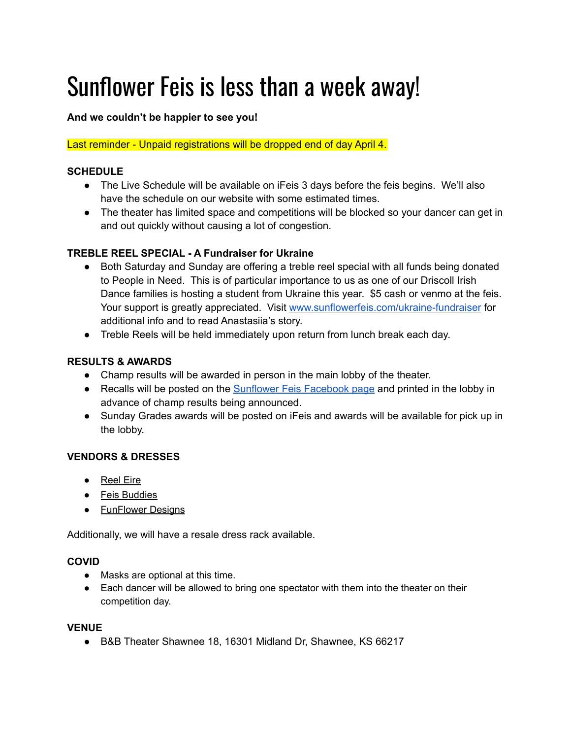# Sunflower Feis is less than a week away!

## **And we couldn't be happier to see you!**

#### Last reminder - Unpaid registrations will be dropped end of day April 4.

## **SCHEDULE**

- The Live Schedule will be available on iFeis 3 days before the feis begins. We'll also have the schedule on our website with some estimated times.
- The theater has limited space and competitions will be blocked so your dancer can get in and out quickly without causing a lot of congestion.

## **TREBLE REEL SPECIAL - A Fundraiser for Ukraine**

- Both Saturday and Sunday are offering a treble reel special with all funds being donated to People in Need. This is of particular importance to us as one of our Driscoll Irish Dance families is hosting a student from Ukraine this year. \$5 cash or venmo at the feis. Your support is greatly appreciated. Visit [www.sunflowerfeis.com/ukraine-fundraiser](http://www.sunflowerfeis.com/ukraine-fundraiser) for additional info and to read Anastasiia's story.
- Treble Reels will be held immediately upon return from lunch break each day.

#### **RESULTS & AWARDS**

- Champ results will be awarded in person in the main lobby of the theater.
- Recalls will be posted on the [Sunflower](https://www.facebook.com/sunflowerfeis/?fref=ts) Feis Facebook page and printed in the lobby in advance of champ results being announced.
- Sunday Grades awards will be posted on iFeis and awards will be available for pick up in the lobby.

## **VENDORS & DRESSES**

- Reel Eire
- Feis Buddies
- FunFlower Designs

Additionally, we will have a resale dress rack available.

#### **COVID**

- Masks are optional at this time.
- Each dancer will be allowed to bring one spectator with them into the theater on their competition day.

#### **VENUE**

● B&B Theater Shawnee 18, 16301 Midland Dr, Shawnee, KS 66217